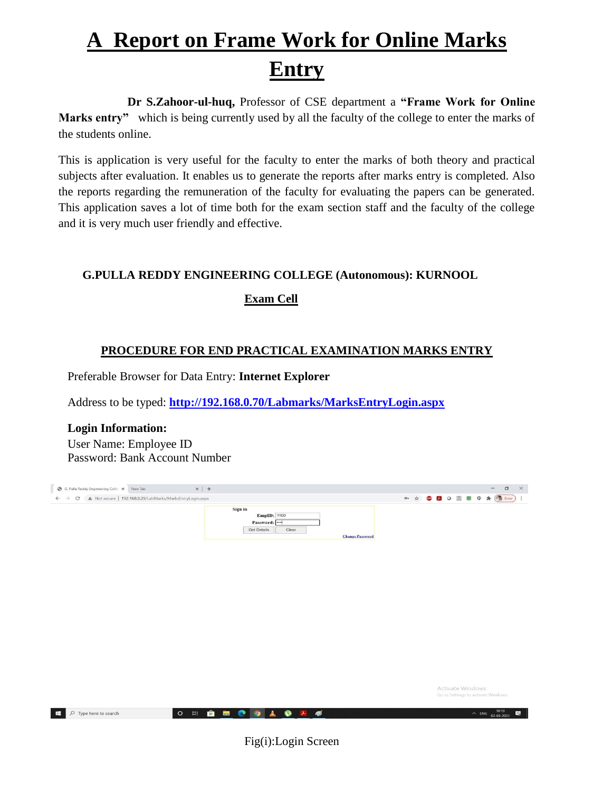# **A Report on Frame Work for Online Marks Entry**

 **Dr S.Zahoor-ul-huq,** Professor of CSE department a **"Frame Work for Online Marks entry"** which is being currently used by all the faculty of the college to enter the marks of the students online.

This is application is very useful for the faculty to enter the marks of both theory and practical subjects after evaluation. It enables us to generate the reports after marks entry is completed. Also the reports regarding the remuneration of the faculty for evaluating the papers can be generated. This application saves a lot of time both for the exam section staff and the faculty of the college and it is very much user friendly and effective.

### **G.PULLA REDDY ENGINEERING COLLEGE (Autonomous): KURNOOL**

### **Exam Cell**

## **PROCEDURE FOR END PRACTICAL EXAMINATION MARKS ENTRY**

Preferable Browser for Data Entry: **Internet Explorer**

Address to be typed: **<http://192.168.0.70/Labmarks/MarksEntryLogin.aspx>**

 **Login Information:** User Name: Employee ID Password: Bank Account Number



Fig(i):Login Screen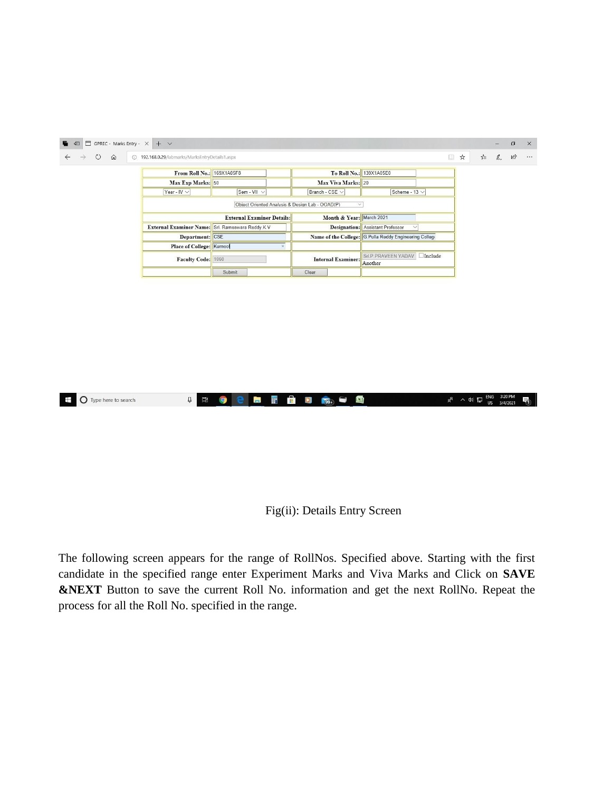

Fig(ii): Details Entry Screen

The following screen appears for the range of RollNos. Specified above. Starting with the first candidate in the specified range enter Experiment Marks and Viva Marks and Click on **SAVE &NEXT** Button to save the current Roll No. information and get the next RollNo. Repeat the process for all the Roll No. specified in the range.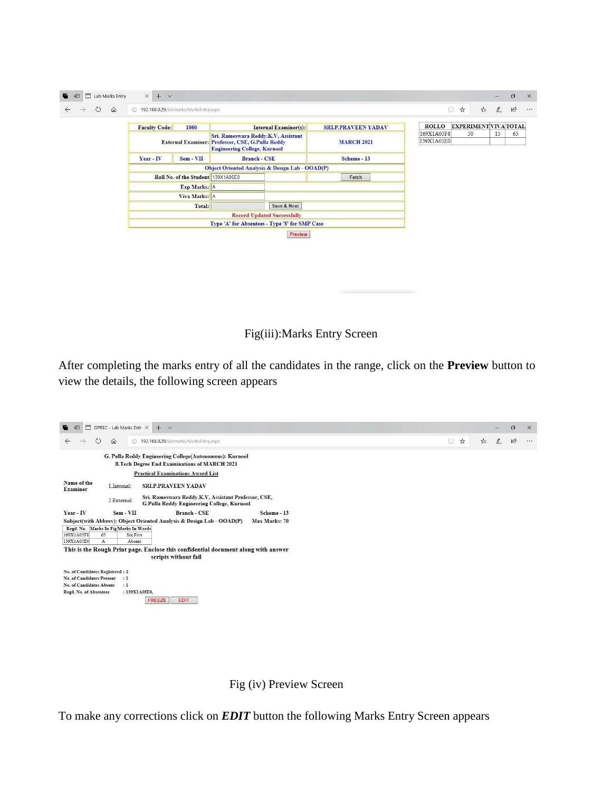| ⊟<br>日<br>Lab Marks Entry | $\times$<br>$+$ $\vee$                          |                                    |                                                                                                                                |                                                            |                   |       |             |                          |                                             |   |              | $\sigma$  |
|---------------------------|-------------------------------------------------|------------------------------------|--------------------------------------------------------------------------------------------------------------------------------|------------------------------------------------------------|-------------------|-------|-------------|--------------------------|---------------------------------------------|---|--------------|-----------|
| ↻<br>$\Omega$             | 192.168.0.29/labmarks/MarksEntry.aspx           |                                    |                                                                                                                                |                                                            |                   |       |             |                          | $\begin{array}{c} \square \end{array}$<br>☆ | ☆ | $\mathbb{Z}$ | $\vec{B}$ |
|                           | <b>Faculty Code:</b><br>1060                    |                                    |                                                                                                                                | <b>Internal Examiner(s):</b><br><b>SRI.P.PRAVEEN YADAV</b> |                   |       |             | <b>ROLLO</b>             | <b>EXPERIMENT VIVA TOTAL</b>                |   |              |           |
|                           |                                                 |                                    | Sri. Rameswara Reddy.K.V, Assistant<br>External Examiner: Professor, CSE, G.Pulla Reddy<br><b>Engineering College, Kurnool</b> |                                                            | <b>MARCH 2021</b> |       |             | 169X1A05F8<br>139X1A05E0 | 50                                          |   | 15           | 65        |
|                           | Year - IV                                       | $Sem - VII$                        |                                                                                                                                | <b>Branch - CSE</b>                                        |                   |       | Scheme - 13 |                          |                                             |   |              |           |
|                           | Object Oriented Analysis & Design Lab - OOAD(P) |                                    |                                                                                                                                |                                                            |                   |       |             |                          |                                             |   |              |           |
|                           |                                                 | Roll No. of the Student 139X1A05E0 |                                                                                                                                |                                                            |                   | Fetch |             |                          |                                             |   |              |           |
|                           |                                                 | Exp Marks: A                       |                                                                                                                                |                                                            |                   |       |             |                          |                                             |   |              |           |
|                           |                                                 | Viva Marks: A                      |                                                                                                                                |                                                            |                   |       |             |                          |                                             |   |              |           |
|                           |                                                 | Total:                             |                                                                                                                                | Save & Next                                                |                   |       |             |                          |                                             |   |              |           |
|                           | <b>Record Updated Successfully</b>              |                                    |                                                                                                                                |                                                            |                   |       |             |                          |                                             |   |              |           |
|                           | Type 'A' for Absentees - Type 'S' for SMP Case  |                                    |                                                                                                                                |                                                            |                   |       |             |                          |                                             |   |              |           |
|                           |                                                 |                                    |                                                                                                                                | Preview                                                    |                   |       |             |                          |                                             |   |              |           |

Fig(iii):Marks Entry Screen

After completing the marks entry of all the candidates in the range, click on the **Preview** button to view the details, the following screen appears

| ⊟<br>日                                                                                                         | GPREC - Lab Marks Entr $\,\times\,$      | $+$ $\vee$                                                                                        |               |  |  |  |  |  |                                        |   |   |              | O              | $\times$ |
|----------------------------------------------------------------------------------------------------------------|------------------------------------------|---------------------------------------------------------------------------------------------------|---------------|--|--|--|--|--|----------------------------------------|---|---|--------------|----------------|----------|
| $\circ$<br>$\leftarrow$                                                                                        | $\Omega$<br>$\bigcirc$                   | 192.168.0.29/labmarks/MarksEntry.aspx                                                             |               |  |  |  |  |  | $\begin{array}{c} \square \end{array}$ | ☆ | ☆ | $\mathbb{Z}$ | $\mathfrak{S}$ | $\cdots$ |
| G. Pulla Reddy Engineering College(Autonomous): Kurnool<br><b>B.Tech Degree End Examinations of MARCH 2021</b> |                                          |                                                                                                   |               |  |  |  |  |  |                                        |   |   |              |                |          |
| <b>Practical Examinations Award List</b>                                                                       |                                          |                                                                                                   |               |  |  |  |  |  |                                        |   |   |              |                |          |
| Name of the<br><b>Examiner</b>                                                                                 | 1.Internal:                              | SRI.P.PRAVEEN YADAV                                                                               |               |  |  |  |  |  |                                        |   |   |              |                |          |
|                                                                                                                | 2.External:                              | Sri. Rameswara Reddy.K.V, Assistant Professor, CSE,<br>G.Pulla Reddy Engineering College, Kurnool |               |  |  |  |  |  |                                        |   |   |              |                |          |
| Year - IV                                                                                                      | Sem - VII                                | <b>Branch - CSE</b>                                                                               | Scheme - 13   |  |  |  |  |  |                                        |   |   |              |                |          |
|                                                                                                                |                                          | Subject(with Abbrev): Object Oriented Analysis & Design Lab - OOAD(P)                             | Max Marks: 70 |  |  |  |  |  |                                        |   |   |              |                |          |
| Regd. No. Marks In Fig Marks In Words                                                                          |                                          |                                                                                                   |               |  |  |  |  |  |                                        |   |   |              |                |          |
| 169X1A05F8<br>139X1A05E0                                                                                       | 65<br>Six Five<br>Absent<br>$\mathbf{A}$ |                                                                                                   |               |  |  |  |  |  |                                        |   |   |              |                |          |
|                                                                                                                |                                          | This is the Rough Print page. Enclose this confidential document along with answer                |               |  |  |  |  |  |                                        |   |   |              |                |          |
|                                                                                                                |                                          | scripts without fail                                                                              |               |  |  |  |  |  |                                        |   |   |              |                |          |
| No. of Candidates Registered : 2                                                                               |                                          |                                                                                                   |               |  |  |  |  |  |                                        |   |   |              |                |          |
| No. of Candidates Present                                                                                      | :1                                       |                                                                                                   |               |  |  |  |  |  |                                        |   |   |              |                |          |
| No. of Candidates Absent                                                                                       | :1                                       |                                                                                                   |               |  |  |  |  |  |                                        |   |   |              |                |          |
| Regd. No. of Absentees                                                                                         | : 139X1A05E0.                            | <b>FREEZE</b><br><b>EDIT</b>                                                                      |               |  |  |  |  |  |                                        |   |   |              |                |          |

Fig (iv) Preview Screen

To make any corrections click on *EDIT* button the following Marks Entry Screen appears